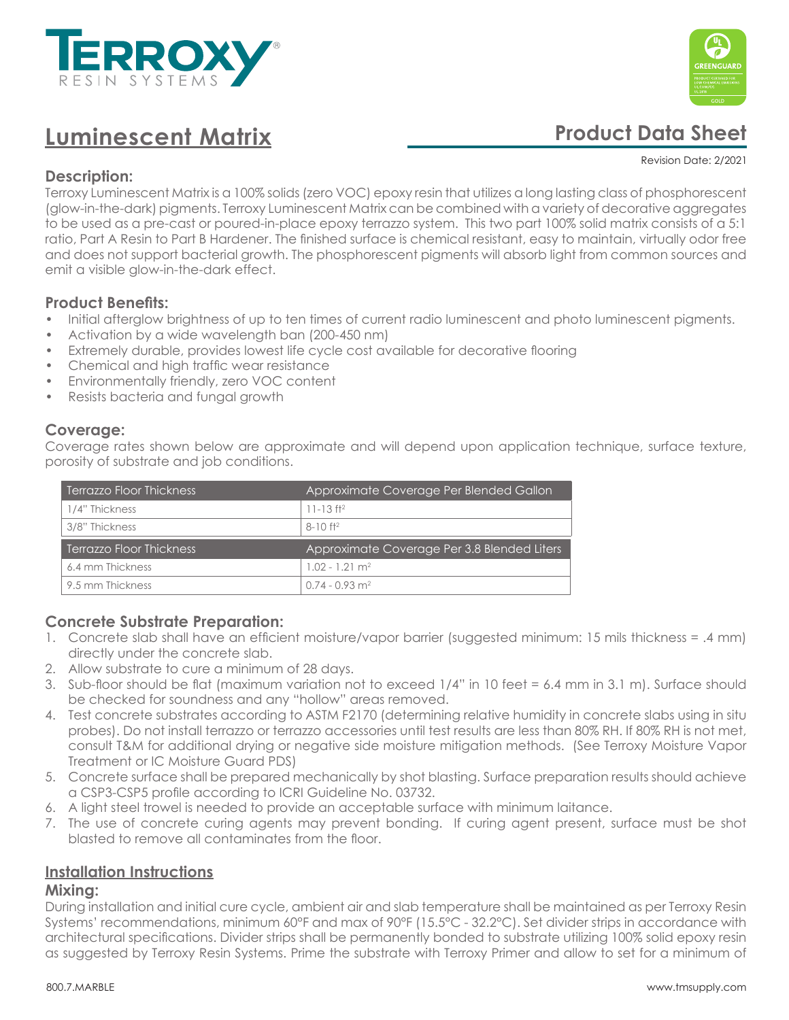

# **Luminescent Matrix**

## **Product Data Sheet**

#### Revision Date: 2/2021

#### **Description:**

Terroxy Luminescent Matrix is a 100% solids (zero VOC) epoxy resin that utilizes a long lasting class of phosphorescent (glow-in-the-dark) pigments. Terroxy Luminescent Matrix can be combined with a variety of decorative aggregates to be used as a pre-cast or poured-in-place epoxy terrazzo system. This two part 100% solid matrix consists of a 5:1 ratio, Part A Resin to Part B Hardener. The finished surface is chemical resistant, easy to maintain, virtually odor free and does not support bacterial growth. The phosphorescent pigments will absorb light from common sources and emit a visible glow-in-the-dark effect.

#### **Product Benefits:**

- Initial afterglow brightness of up to ten times of current radio luminescent and photo luminescent pigments.
- Activation by a wide wavelength ban (200-450 nm)
- Extremely durable, provides lowest life cycle cost available for decorative flooring
- Chemical and high traffic wear resistance
- Environmentally friendly, zero VOC content
- Resists bacteria and fungal growth

#### **Coverage:**

Coverage rates shown below are approximate and will depend upon application technique, surface texture, porosity of substrate and job conditions.

| Terrazzo Floor Thickness | Approximate Coverage Per Blended Gallon     |  |
|--------------------------|---------------------------------------------|--|
| 1/4" Thickness           | $11 - 13$ ft <sup>2</sup>                   |  |
| 3/8" Thickness           | $8-10$ ft <sup>2</sup>                      |  |
|                          |                                             |  |
| Terrazzo Floor Thickness | Approximate Coverage Per 3.8 Blended Liters |  |
| 6.4 mm Thickness         | $1.02 - 1.21$ m <sup>2</sup>                |  |

#### **Concrete Substrate Preparation:**

- 1. Concrete slab shall have an efficient moisture/vapor barrier (suggested minimum: 15 mils thickness = .4 mm) directly under the concrete slab.
- 2. Allow substrate to cure a minimum of 28 days.
- 3. Sub-floor should be flat (maximum variation not to exceed 1/4" in 10 feet = 6.4 mm in 3.1 m). Surface should be checked for soundness and any "hollow" areas removed.
- 4. Test concrete substrates according to ASTM F2170 (determining relative humidity in concrete slabs using in situ probes). Do not install terrazzo or terrazzo accessories until test results are less than 80% RH. If 80% RH is not met, consult T&M for additional drying or negative side moisture mitigation methods. (See Terroxy Moisture Vapor Treatment or IC Moisture Guard PDS)
- 5. Concrete surface shall be prepared mechanically by shot blasting. Surface preparation results should achieve a CSP3-CSP5 profile according to ICRI Guideline No. 03732.
- 6. A light steel trowel is needed to provide an acceptable surface with minimum laitance.
- 7. The use of concrete curing agents may prevent bonding. If curing agent present, surface must be shot blasted to remove all contaminates from the floor.

#### **Installation Instructions**

#### **Mixing:**

During installation and initial cure cycle, ambient air and slab temperature shall be maintained as per Terroxy Resin Systems' recommendations, minimum 60°F and max of 90°F (15.5°C - 32.2°C). Set divider strips in accordance with architectural specifications. Divider strips shall be permanently bonded to substrate utilizing 100% solid epoxy resin as suggested by Terroxy Resin Systems. Prime the substrate with Terroxy Primer and allow to set for a minimum of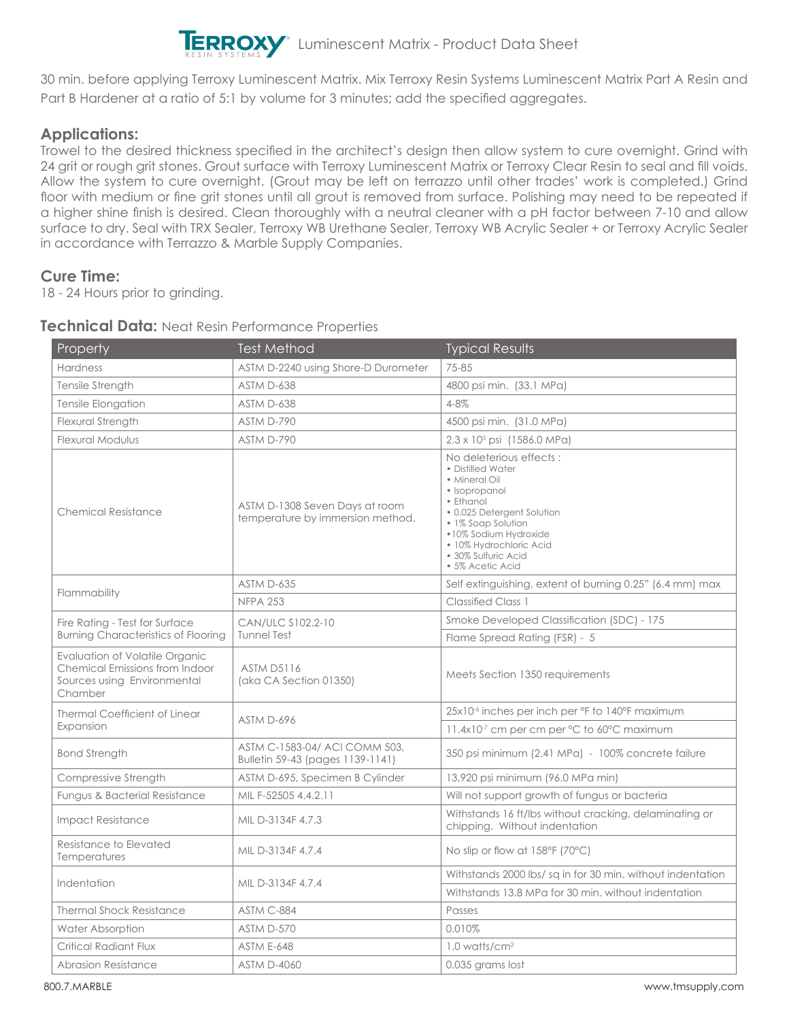

30 min. before applying Terroxy Luminescent Matrix. Mix Terroxy Resin Systems Luminescent Matrix Part A Resin and Part B Hardener at a ratio of 5:1 by volume for 3 minutes; add the specified aggregates.

### **Applications:**

Trowel to the desired thickness specified in the architect's design then allow system to cure overnight. Grind with 24 grit or rough grit stones. Grout surface with Terroxy Luminescent Matrix or Terroxy Clear Resin to seal and fill voids. Allow the system to cure overnight. (Grout may be left on terrazzo until other trades' work is completed.) Grind floor with medium or fine grit stones until all grout is removed from surface. Polishing may need to be repeated if a higher shine finish is desired. Clean thoroughly with a neutral cleaner with a pH factor between 7-10 and allow surface to dry. Seal with TRX Sealer, Terroxy WB Urethane Sealer, Terroxy WB Acrylic Sealer + or Terroxy Acrylic Sealer in accordance with Terrazzo & Marble Supply Companies.

#### **Cure Time:**

18 - 24 Hours prior to grinding.

| Property                                                                                                   | <b>Test Method</b>                                                 | <b>Typical Results</b>                                                                                                                                                                                                                          |
|------------------------------------------------------------------------------------------------------------|--------------------------------------------------------------------|-------------------------------------------------------------------------------------------------------------------------------------------------------------------------------------------------------------------------------------------------|
| <b>Hardness</b>                                                                                            | ASTM D-2240 using Shore-D Durometer                                | 75-85                                                                                                                                                                                                                                           |
| Tensile Strength                                                                                           | ASTM D-638                                                         | 4800 psi min. (33.1 MPa)                                                                                                                                                                                                                        |
| <b>Tensile Elongation</b>                                                                                  | ASTM D-638                                                         | 4-8%                                                                                                                                                                                                                                            |
| Flexural Strength                                                                                          | ASTM D-790                                                         | 4500 psi min. (31.0 MPa)                                                                                                                                                                                                                        |
| <b>Flexural Modulus</b>                                                                                    | ASTM D-790                                                         | $2.3 \times 10^5$ psi (1586.0 MPa)                                                                                                                                                                                                              |
| Chemical Resistance                                                                                        | ASTM D-1308 Seven Days at room<br>temperature by immersion method. | No deleterious effects:<br>· Distilled Water<br>• Mineral Oil<br>· Isopropanol<br>• Ethanol<br>• 0.025 Detergent Solution<br>• 1% Soap Solution<br>· 10% Sodium Hydroxide<br>· 10% Hydrochloric Acid<br>· 30% Sulfuric Acid<br>• 5% Acetic Acid |
|                                                                                                            | <b>ASTM D-635</b><br><b>NFPA 253</b>                               | Self extinguishing, extent of burning 0.25" (6.4 mm) max                                                                                                                                                                                        |
| Flammability                                                                                               |                                                                    | <b>Classified Class 1</b>                                                                                                                                                                                                                       |
| Fire Rating - Test for Surface                                                                             | CAN/ULC \$102.2-10                                                 | Smoke Developed Classification (SDC) - 175                                                                                                                                                                                                      |
| <b>Burning Characteristics of Flooring</b><br><b>Tunnel Test</b>                                           |                                                                    | Flame Spread Rating (FSR) - 5                                                                                                                                                                                                                   |
| Evaluation of Volatile Organic<br>Chemical Emissions from Indoor<br>Sources using Environmental<br>Chamber | <b>ASTM D5116</b><br>(aka CA Section 01350)                        | Meets Section 1350 requirements                                                                                                                                                                                                                 |
| <b>Thermal Coefficient of Linear</b>                                                                       |                                                                    | 25x10 <sup>-6</sup> inches per inch per °F to 140°F maximum                                                                                                                                                                                     |
| Expansion                                                                                                  | ASTM D-696                                                         | 11.4x10 <sup>-7</sup> cm per cm per °C to 60°C maximum                                                                                                                                                                                          |
| <b>Bond Strength</b>                                                                                       | ASTM C-1583-04/ ACI COMM 503,<br>Bulletin 59-43 (pages 1139-1141)  | 350 psi minimum (2.41 MPa) - 100% concrete failure                                                                                                                                                                                              |
| Compressive Strength                                                                                       | ASTM D-695, Specimen B Cylinder                                    | 13,920 psi minimum (96.0 MPa min)                                                                                                                                                                                                               |
| Fungus & Bacterial Resistance                                                                              | MIL F-52505 4.4.2.11                                               | Will not support growth of fungus or bacteria                                                                                                                                                                                                   |
| <b>Impact Resistance</b>                                                                                   | MIL D-3134F 4.7.3                                                  | Withstands 16 ft/lbs without cracking, delaminating or<br>chipping. Without indentation                                                                                                                                                         |
| Resistance to Elevated<br>Temperatures                                                                     | MIL D-3134F 4.7.4                                                  | No slip or flow at 158°F (70°C)                                                                                                                                                                                                                 |
| Indentation<br>MIL D-3134F 4.7.4                                                                           |                                                                    | Withstands 2000 lbs/sq in for 30 min. without indentation                                                                                                                                                                                       |
|                                                                                                            |                                                                    | Withstands 13.8 MPa for 30 min. without indentation                                                                                                                                                                                             |
| <b>Thermal Shock Resistance</b>                                                                            | ASTM C-884                                                         | Passes                                                                                                                                                                                                                                          |
| Water Absorption                                                                                           | ASTM D-570                                                         | 0.010%                                                                                                                                                                                                                                          |
| Critical Radiant Flux                                                                                      | <b>ASTM E-648</b>                                                  | $1.0$ watts/cm <sup>2</sup>                                                                                                                                                                                                                     |
| <b>Abrasion Resistance</b>                                                                                 | <b>ASTM D-4060</b>                                                 | 0.035 grams lost                                                                                                                                                                                                                                |

#### **Technical Data:** Neat Resin Performance Properties